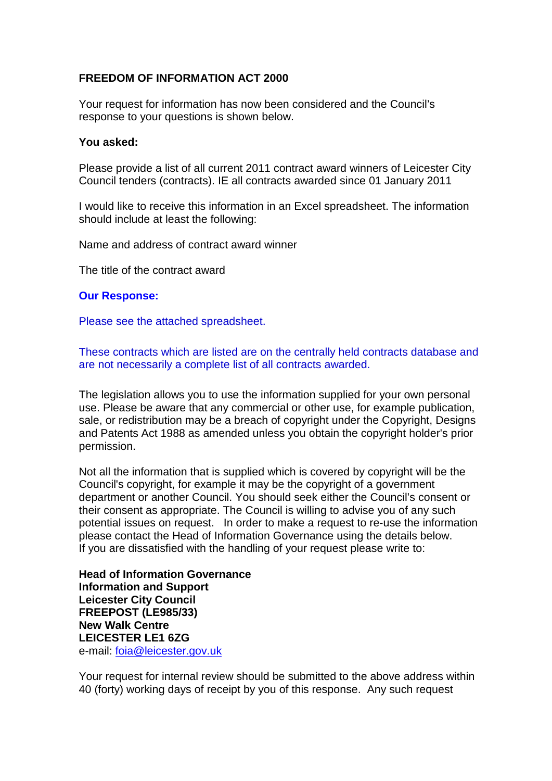## **FREEDOM OF INFORMATION ACT 2000**

Your request for information has now been considered and the Council's response to your questions is shown below.

## **You asked:**

Please provide a list of all current 2011 contract award winners of Leicester City Council tenders (contracts). IE all contracts awarded since 01 January 2011

I would like to receive this information in an Excel spreadsheet. The information should include at least the following:

Name and address of contract award winner

The title of the contract award

## **Our Response:**

Please see the attached spreadsheet.

These contracts which are listed are on the centrally held contracts database and are not necessarily a complete list of all contracts awarded.

The legislation allows you to use the information supplied for your own personal use. Please be aware that any commercial or other use, for example publication, sale, or redistribution may be a breach of copyright under the Copyright, Designs and Patents Act 1988 as amended unless you obtain the copyright holder's prior permission.

Not all the information that is supplied which is covered by copyright will be the Council's copyright, for example it may be the copyright of a government department or another Council. You should seek either the Council's consent or their consent as appropriate. The Council is willing to advise you of any such potential issues on request. In order to make a request to re-use the information please contact the Head of Information Governance using the details below. If you are dissatisfied with the handling of your request please write to:

**Head of Information Governance Information and Support Leicester City Council FREEPOST (LE985/33) New Walk Centre LEICESTER LE1 6ZG**  e-mail: [foia@leicester.gov.uk](mailto:foia@leicester.gov.uk)

Your request for internal review should be submitted to the above address within 40 (forty) working days of receipt by you of this response. Any such request